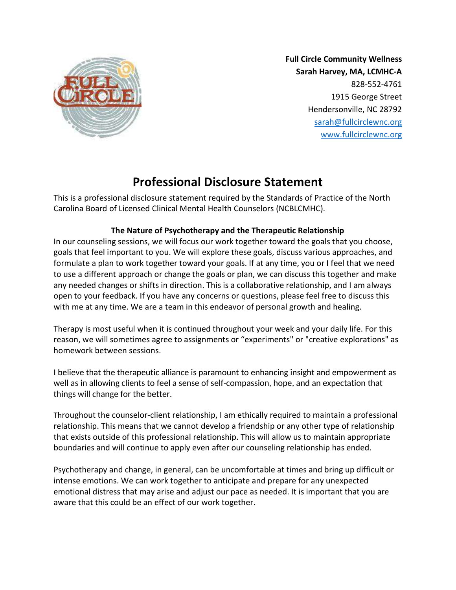

Full Circle Community Wellness Sarah Harvey, MA, LCMHC-A 828-552-4761 1915 George Street Hendersonville, NC 28792 sarah@fullcirclewnc.org www.fullcirclewnc.org

# Professional Disclosure Statement

This is a professional disclosure statement required by the Standards of Practice of the North Carolina Board of Licensed Clinical Mental Health Counselors (NCBLCMHC).

## The Nature of Psychotherapy and the Therapeutic Relationship

In our counseling sessions, we will focus our work together toward the goals that you choose, goals that feel important to you. We will explore these goals, discuss various approaches, and formulate a plan to work together toward your goals. If at any time, you or I feel that we need to use a different approach or change the goals or plan, we can discuss this together and make any needed changes or shifts in direction. This is a collaborative relationship, and I am always open to your feedback. If you have any concerns or questions, please feel free to discuss this with me at any time. We are a team in this endeavor of personal growth and healing.

Therapy is most useful when it is continued throughout your week and your daily life. For this reason, we will sometimes agree to assignments or "experiments" or "creative explorations" as homework between sessions.

I believe that the therapeutic alliance is paramount to enhancing insight and empowerment as well as in allowing clients to feel a sense of self-compassion, hope, and an expectation that things will change for the better.

Throughout the counselor-client relationship, I am ethically required to maintain a professional relationship. This means that we cannot develop a friendship or any other type of relationship that exists outside of this professional relationship. This will allow us to maintain appropriate boundaries and will continue to apply even after our counseling relationship has ended.

Psychotherapy and change, in general, can be uncomfortable at times and bring up difficult or intense emotions. We can work together to anticipate and prepare for any unexpected emotional distress that may arise and adjust our pace as needed. It is important that you are aware that this could be an effect of our work together.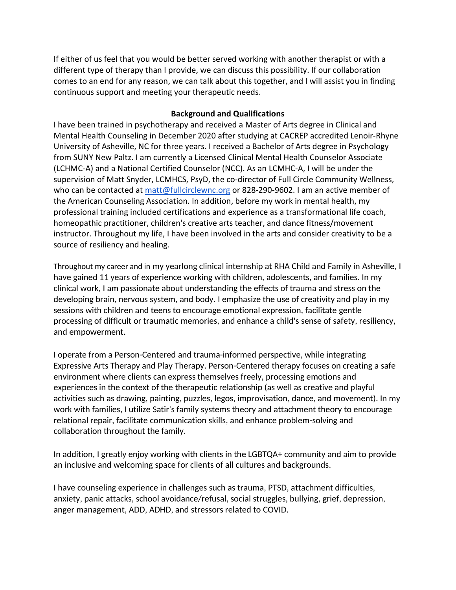If either of us feel that you would be better served working with another therapist or with a different type of therapy than I provide, we can discuss this possibility. If our collaboration comes to an end for any reason, we can talk about this together, and I will assist you in finding continuous support and meeting your therapeutic needs.

#### Background and Qualifications

I have been trained in psychotherapy and received a Master of Arts degree in Clinical and Mental Health Counseling in December 2020 after studying at CACREP accredited Lenoir-Rhyne University of Asheville, NC for three years. I received a Bachelor of Arts degree in Psychology from SUNY New Paltz. I am currently a Licensed Clinical Mental Health Counselor Associate (LCHMC-A) and a National Certified Counselor (NCC). As an LCMHC-A, I will be under the supervision of Matt Snyder, LCMHCS, PsyD, the co-director of Full Circle Community Wellness, who can be contacted at matt@fullcirclewnc.org or 828-290-9602. I am an active member of the American Counseling Association. In addition, before my work in mental health, my professional training included certifications and experience as a transformational life coach, homeopathic practitioner, children's creative arts teacher, and dance fitness/movement instructor. Throughout my life, I have been involved in the arts and consider creativity to be a source of resiliency and healing.

Throughout my career and in my yearlong clinical internship at RHA Child and Family in Asheville, I have gained 11 years of experience working with children, adolescents, and families. In my clinical work, I am passionate about understanding the effects of trauma and stress on the developing brain, nervous system, and body. I emphasize the use of creativity and play in my sessions with children and teens to encourage emotional expression, facilitate gentle processing of difficult or traumatic memories, and enhance a child's sense of safety, resiliency, and empowerment.

I operate from a Person-Centered and trauma-informed perspective, while integrating Expressive Arts Therapy and Play Therapy. Person-Centered therapy focuses on creating a safe environment where clients can express themselves freely, processing emotions and experiences in the context of the therapeutic relationship (as well as creative and playful activities such as drawing, painting, puzzles, legos, improvisation, dance, and movement). In my work with families, I utilize Satir's family systems theory and attachment theory to encourage relational repair, facilitate communication skills, and enhance problem-solving and collaboration throughout the family.

In addition, I greatly enjoy working with clients in the LGBTQA+ community and aim to provide an inclusive and welcoming space for clients of all cultures and backgrounds.

I have counseling experience in challenges such as trauma, PTSD, attachment difficulties, anxiety, panic attacks, school avoidance/refusal, social struggles, bullying, grief, depression, anger management, ADD, ADHD, and stressors related to COVID.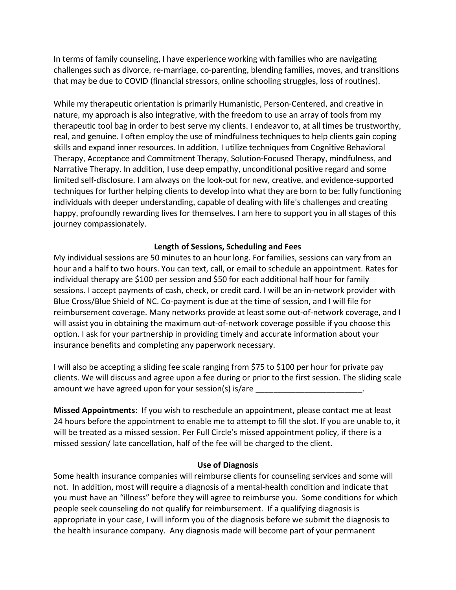In terms of family counseling, I have experience working with families who are navigating challenges such as divorce, re-marriage, co-parenting, blending families, moves, and transitions that may be due to COVID (financial stressors, online schooling struggles, loss of routines).

While my therapeutic orientation is primarily Humanistic, Person-Centered, and creative in nature, my approach is also integrative, with the freedom to use an array of tools from my therapeutic tool bag in order to best serve my clients. I endeavor to, at all times be trustworthy, real, and genuine. I often employ the use of mindfulness techniques to help clients gain coping skills and expand inner resources. In addition, I utilize techniques from Cognitive Behavioral Therapy, Acceptance and Commitment Therapy, Solution-Focused Therapy, mindfulness, and Narrative Therapy. In addition, I use deep empathy, unconditional positive regard and some limited self-disclosure. I am always on the look-out for new, creative, and evidence-supported techniques for further helping clients to develop into what they are born to be: fully functioning individuals with deeper understanding, capable of dealing with life's challenges and creating happy, profoundly rewarding lives for themselves. I am here to support you in all stages of this journey compassionately.

### Length of Sessions, Scheduling and Fees

My individual sessions are 50 minutes to an hour long. For families, sessions can vary from an hour and a half to two hours. You can text, call, or email to schedule an appointment. Rates for individual therapy are \$100 per session and \$50 for each additional half hour for family sessions. I accept payments of cash, check, or credit card. I will be an in-network provider with Blue Cross/Blue Shield of NC. Co-payment is due at the time of session, and I will file for reimbursement coverage. Many networks provide at least some out-of-network coverage, and I will assist you in obtaining the maximum out-of-network coverage possible if you choose this option. I ask for your partnership in providing timely and accurate information about your insurance benefits and completing any paperwork necessary.

I will also be accepting a sliding fee scale ranging from \$75 to \$100 per hour for private pay clients. We will discuss and agree upon a fee during or prior to the first session. The sliding scale amount we have agreed upon for your session(s) is/are

Missed Appointments: If you wish to reschedule an appointment, please contact me at least 24 hours before the appointment to enable me to attempt to fill the slot. If you are unable to, it will be treated as a missed session. Per Full Circle's missed appointment policy, if there is a missed session/ late cancellation, half of the fee will be charged to the client.

#### Use of Diagnosis

Some health insurance companies will reimburse clients for counseling services and some will not. In addition, most will require a diagnosis of a mental-health condition and indicate that you must have an "illness" before they will agree to reimburse you. Some conditions for which people seek counseling do not qualify for reimbursement. If a qualifying diagnosis is appropriate in your case, I will inform you of the diagnosis before we submit the diagnosis to the health insurance company. Any diagnosis made will become part of your permanent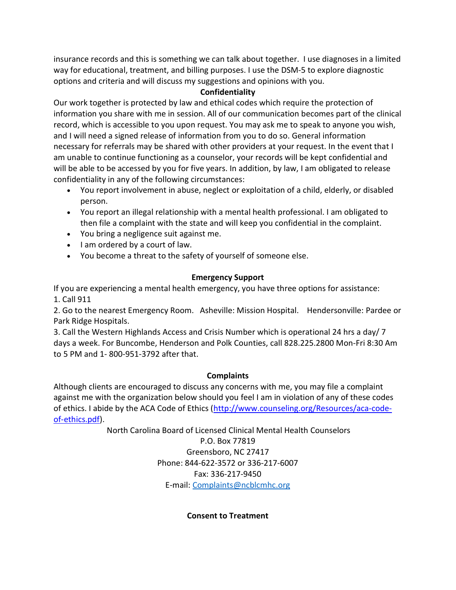insurance records and this is something we can talk about together. I use diagnoses in a limited way for educational, treatment, and billing purposes. I use the DSM-5 to explore diagnostic options and criteria and will discuss my suggestions and opinions with you.

## **Confidentiality**

Our work together is protected by law and ethical codes which require the protection of information you share with me in session. All of our communication becomes part of the clinical record, which is accessible to you upon request. You may ask me to speak to anyone you wish, and I will need a signed release of information from you to do so. General information necessary for referrals may be shared with other providers at your request. In the event that I am unable to continue functioning as a counselor, your records will be kept confidential and will be able to be accessed by you for five years. In addition, by law, I am obligated to release confidentiality in any of the following circumstances:

- You report involvement in abuse, neglect or exploitation of a child, elderly, or disabled person.
- You report an illegal relationship with a mental health professional. I am obligated to then file a complaint with the state and will keep you confidential in the complaint.
- You bring a negligence suit against me.
- I am ordered by a court of law.
- You become a threat to the safety of yourself of someone else.

## Emergency Support

If you are experiencing a mental health emergency, you have three options for assistance: 1. Call 911

2. Go to the nearest Emergency Room. Asheville: Mission Hospital. Hendersonville: Pardee or Park Ridge Hospitals.

3. Call the Western Highlands Access and Crisis Number which is operational 24 hrs a day/ 7 days a week. For Buncombe, Henderson and Polk Counties, call 828.225.2800 Mon-Fri 8:30 Am to 5 PM and 1- 800-951-3792 after that.

## **Complaints**

Although clients are encouraged to discuss any concerns with me, you may file a complaint against me with the organization below should you feel I am in violation of any of these codes of ethics. I abide by the ACA Code of Ethics (http://www.counseling.org/Resources/aca-codeof-ethics.pdf).

North Carolina Board of Licensed Clinical Mental Health Counselors

P.O. Box 77819 Greensboro, NC 27417 Phone: 844-622-3572 or 336-217-6007 Fax: 336-217-9450 E-mail: Complaints@ncblcmhc.org

Consent to Treatment